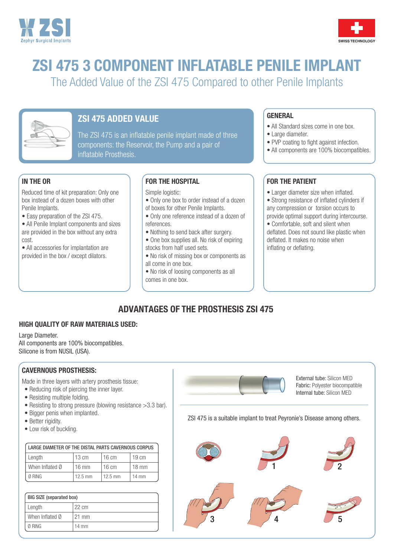



# ZSI 475 3 COMPONENT INFLATABLE PENILE IMPLANT

The Added Value of the ZSI 475 Compared to other Penile Implants



# ZSI 475 ADDED VALUE

The ZSI 475 is an inflatable penile implant made of three components: the Reservoir, the Pump and a pair of inflatable Prosthesis.

## IN THE OR

Reduced time of kit preparation: Only one box instead of a dozen boxes with other Penile Implants.

• Easy preparation of the ZSI 475.

• All Penile Implant components and sizes are provided in the box without any extra cost.

• All accessories for implantation are provided in the box / except dilators.

## FOR THE HOSPITAL

Simple logistic:

- Only one box to order instead of a dozen of boxes for other Penile Implants.
- Only one reference instead of a dozen of references.
- Nothing to send back after surgery.
- One box supplies all. No risk of expiring stocks from half used sets.
- No risk of missing box or components as all come in one box.
- No risk of loosing components as all comes in one box.

## **GENERAL**

- All Standard sizes come in one box.
- Large diameter.
- PVP coating to fight against infection.
- All components are 100% biocompatibles.

## FOR THE PATIENT

- Larger diameter size when inflated.
- Strong resistance of inflated cylinders if any compression or torsion occurs to provide optimal support during intercourse.
- Comfortable, soft and silent when deflated. Does not sound like plastic when deflated. It makes no noise when inflating or deflating.

# ADVANTAGES OF THE PROSTHESIS ZSI 475

#### HIGH QUALITY OF RAW MATERIALS USED:

Large Diameter.

All components are 100% biocompatibles. Silicone is from NUSIL (USA).

## CAVERNOUS PROSTHESIS:

Made in three layers with artery prosthesis tissue:

- Reducing risk of piercing the inner layer.
- Resisting multiple folding.
- Resisting to strong pressure (blowing resistance >3.3 bar).
- Bigger penis when implanted.
- Better rigidity.
- Low risk of buckling.

| LARGE DIAMETER OF THE DISTAL PARTS CAVERNOUS CORPUS |                 |                 |                 |
|-----------------------------------------------------|-----------------|-----------------|-----------------|
| Length                                              | $13 \text{ cm}$ | $16 \text{ cm}$ | $19 \text{ cm}$ |
| When Inflated Ø                                     | $16 \text{ mm}$ | l 16 cm         | $18 \text{ mm}$ |
| Ø RING                                              | $12.5$ mm       | 12.5 mm         | $14 \text{ mm}$ |

| <b>BIG SIZE (separated box)</b> |                 |
|---------------------------------|-----------------|
| Length                          | $22 \text{ cm}$ |
| When Inflated Ø                 | 21 mm           |
| Ø RING                          | $14 \text{ mm}$ |